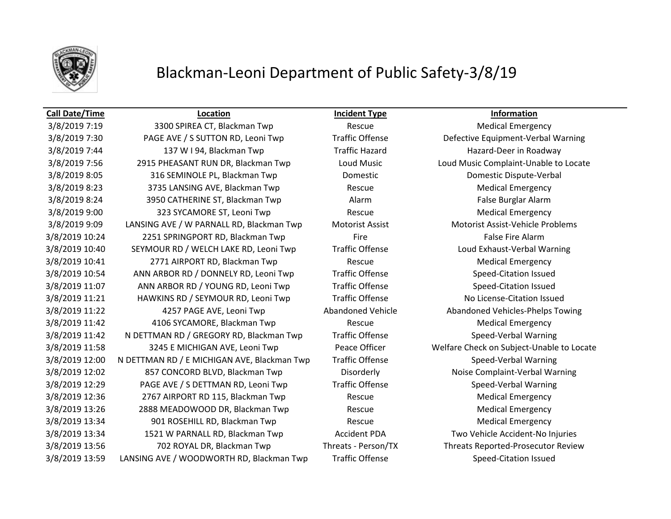

3/8/2019 7:30 PAGE AVE / S SUTTON RD, Leoni Twp Traffic Offense Defective Equipment-Verbal Warning 3/8/2019 7:44 137 W I 94, Blackman Twp Traffic Hazard Hazard Hazard-Deer in Roadway 3/8/2019 7:56 2915 PHEASANT RUN DR, Blackman Twp Loud Music Loud Music Complaint-Unable to Locate 3/8/2019 8:05 316 SEMINOLE PL, Blackman Twp Domestic Domestic Dispute-Verbal 3/8/2019 8:23 3735 LANSING AVE, Blackman Twp Rescue Medical Emergency 3/8/2019 8:24 3950 CATHERINE ST, Blackman Twp Alarm Alarm False Burglar Alarm 3/8/2019 9:00 323 SYCAMORE ST, Leoni Twp Rescue Rescue Medical Emergency 3/8/2019 9:09 LANSING AVE / W PARNALL RD, Blackman Twp Motorist Assist Motorist Assist-Vehicle Problems 3/8/2019 10:24 2251 SPRINGPORT RD, Blackman Twp Fire Fire Fire False Fire Alarm 3/8/2019 10:40 SEYMOUR RD / WELCH LAKE RD, Leoni Twp Traffic Offense Loud Exhaust-Verbal Warning 3/8/2019 10:41 2771 AIRPORT RD, Blackman Twp Rescue Medical Emergency 3/8/2019 10:54 ANN ARBOR RD / DONNELY RD, Leoni Twp Traffic Offense Speed-Citation Issued 3/8/2019 11:07 ANN ARBOR RD / YOUNG RD, Leoni Twp Traffic Offense Speed-Citation Issued 3/8/2019 11:21 HAWKINS RD / SEYMOUR RD, Leoni Twp Traffic Offense No License-Citation Issued 3/8/2019 11:22 4257 PAGE AVE, Leoni Twp Abandoned Vehicle Abandoned Vehicles-Phelps Towing 3/8/2019 11:42 4106 SYCAMORE, Blackman Twp Rescue Medical Emergency 3/8/2019 11:42 N DETTMAN RD / GREGORY RD, Blackman Twp Traffic Offense Speed-Verbal Warning 3/8/2019 11:58 3245 E MICHIGAN AVE, Leoni Twp Peace Officer Welfare Check on Subject-Unable to Locate 3/8/2019 12:00 N DETTMAN RD / E MICHIGAN AVE, Blackman Twp Traffic Offense Speed-Verbal Warning 3/8/2019 12:02 857 CONCORD BLVD, Blackman Twp Disorderly Noise Complaint-Verbal Warning 3/8/2019 12:29 PAGE AVE / S DETTMAN RD, Leoni Twp Traffic Offense Speed-Verbal Warning 3/8/2019 12:36 2767 AIRPORT RD 115, Blackman Twp Rescue Medical Emergency 3/8/2019 13:26 2888 MEADOWOOD DR, Blackman Twp Rescue Medical Emergency 3/8/2019 13:34 901 ROSEHILL RD, Blackman Twp Rescue Medical Emergency 3/8/2019 13:34 1521 W PARNALL RD, Blackman Twp Accident PDA Two Vehicle Accident-No Injuries 3/8/2019 13:56 702 ROYAL DR, Blackman Twp Threats - Person/TX Threats Reported-Prosecutor Review 3/8/2019 13:59 LANSING AVE / WOODWORTH RD, Blackman Twp Traffic Offense Speed-Citation Issued

**Call Date/Time Location Incident Type Information**

3/8/2019 7:19 3300 SPIREA CT, Blackman Twp Rescue Rescue Medical Emergency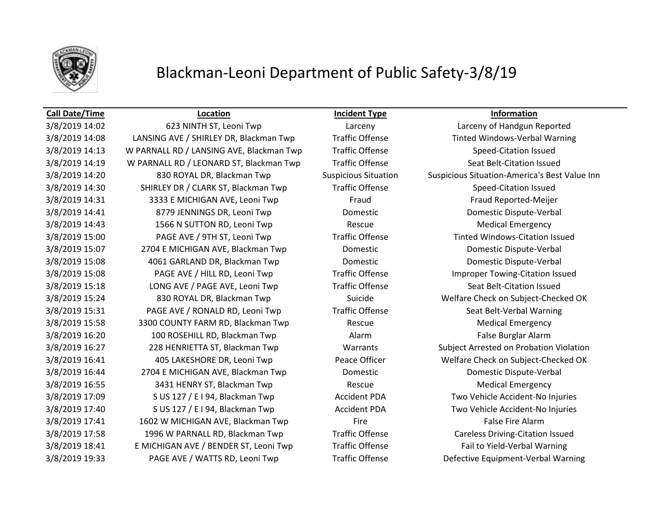

### **Call Date/Time Location Incident Type Information**

3/8/2019 14:08 LANSING AVE / SHIRLEY DR, Blackman Twp Traffic Offense Trated Windows-Verbal Warning 3/8/2019 14:13 W PARNALL RD / LANSING AVE, Blackman Twp Traffic Offense Speed-Citation Issued 3/8/2019 14:19 W PARNALL RD / LEONARD ST, Blackman Twp Traffic Offense Seat Belt-Citation Issued 3/8/2019 14:20 830 ROYAL DR, Blackman Twp Suspicious Situation Suspicious Situation-America's Best Value Inn 3/8/2019 14:30 SHIRLEY DR / CLARK ST, Blackman Twp Traffic Offense Speed-Citation Issued 3/8/2019 14:31 3333 E MICHIGAN AVE, Leoni Twp Fraud Fraud Fraud Fraud Reported-Meijer 3/8/2019 14:41 8779 JENNINGS DR, Leoni Twp Domestic Domestic Dispute-Verbal 3/8/2019 14:43 1566 N SUTTON RD, Leoni Twp Rescue Rescue Medical Emergency 3/8/2019 15:00 PAGE AVE / 9TH ST, Leoni Twp Traffic Offense Tinted Windows-Citation Issued 3/8/2019 15:07 2704 E MICHIGAN AVE, Blackman Twp Domestic Domestic Dispute-Verbal 3/8/2019 15:08 4061 GARLAND DR, Blackman Twp Domestic Domestic Dispute-Verbal 3/8/2019 15:08 PAGE AVE / HILL RD, Leoni Twp Traffic Offense Improper Towing-Citation Issued 3/8/2019 15:18 LONG AVE / PAGE AVE, Leoni Twp Traffic Offense Seat Belt-Citation Issued 3/8/2019 15:24 830 ROYAL DR, Blackman Twp Suicide Welfare Check on Subject-Checked OK 3/8/2019 15:31 PAGE AVE / RONALD RD, Leoni Twp Traffic Offense Seat Belt-Verbal Warning 3/8/2019 15:58 3300 COUNTY FARM RD, Blackman Twp Rescue Rescue Medical Emergency 3/8/2019 16:20 100 ROSEHILL RD, Blackman Twp Alarm Alarm False Burglar Alarm 3/8/2019 16:27 228 HENRIETTA ST, Blackman Twp Warrants Subject Arrested on Probation Violation 3/8/2019 16:41 405 LAKESHORE DR, Leoni Twp Peace Officer Welfare Check on Subject-Checked OK 3/8/2019 16:44 2704 E MICHIGAN AVE, Blackman Twp Domestic Domestic Domestic Dispute-Verbal 3/8/2019 16:55 3431 HENRY ST, Blackman Twp Rescue Medical Emergency 3/8/2019 17:09 S US 127 / E I 94, Blackman Twp Accident PDA Two Vehicle Accident-No Injuries 3/8/2019 17:40 S US 127 / E I 94, Blackman Twp Accident PDA Two Vehicle Accident-No Injuries 3/8/2019 17:41 1602 W MICHIGAN AVE, Blackman Twp Fire Fire Fire False Fire Alarm 3/8/2019 17:58 1996 W PARNALL RD, Blackman Twp Traffic Offense Careless Driving-Citation Issued 3/8/2019 18:41 E MICHIGAN AVE / BENDER ST, Leoni Twp Traffic Offense Fail to Yield-Verbal Warning 3/8/2019 19:33 PAGE AVE / WATTS RD, Leoni Twp Traffic Offense Defective Equipment-Verbal Warning

3/8/2019 14:02 623 NINTH ST, Leoni Twp Larceny Larceny of Handgun Reported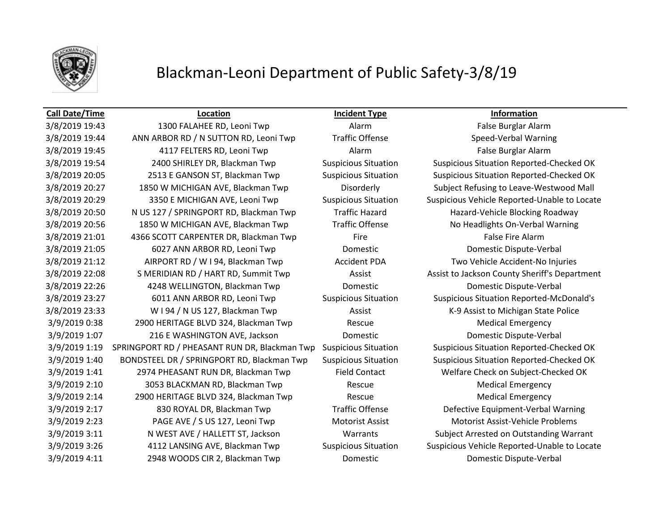

### **Call Date/Time Location Incident Type Information**

3/8/2019 19:43 1300 FALAHEE RD, Leoni Twp Alarm Alarm Alarm False Burglar Alarm 3/8/2019 19:44 ANN ARBOR RD / N SUTTON RD, Leoni Twp Traffic Offense Speed-Verbal Warning 3/8/2019 19:45 4117 FELTERS RD, Leoni Twp Alarm Alarm Alarm False Burglar Alarm 3/8/2019 19:54 2400 SHIRLEY DR, Blackman Twp Suspicious Situation Suspicious Situation Reported-Checked OK 3/8/2019 20:05 2513 E GANSON ST, Blackman Twp Suspicious Situation Suspicious Situation Reported-Checked OK 3/8/2019 20:27 1850 W MICHIGAN AVE, Blackman Twp Disorderly Subject Refusing to Leave-Westwood Mall 3/8/2019 20:29 3350 E MICHIGAN AVE, Leoni Twp Suspicious Situation Suspicious Vehicle Reported-Unable to Locate 3/8/2019 20:50 N US 127 / SPRINGPORT RD, Blackman Twp Traffic Hazard Hazard-Vehicle Blocking Roadway 3/8/2019 20:56 1850 W MICHIGAN AVE, Blackman Twp Traffic Offense No Headlights On-Verbal Warning 3/8/2019 21:01 4366 SCOTT CARPENTER DR, Blackman Twp Fire Fire Fire False Fire Alarm 3/8/2019 21:05 6027 ANN ARBOR RD, Leoni Twp Domestic Domestic Dispute-Verbal 3/8/2019 21:12 AIRPORT RD / W I 94, Blackman Twp Accident PDA Two Vehicle Accident-No Injuries 3/8/2019 22:08 S MERIDIAN RD / HART RD, Summit Twp **Assist Assist Assist Assist to Jackson County Sheriff's Department** 3/8/2019 22:26 4248 WELLINGTON, Blackman Twp Domestic Domestic Dispute-Verbal 3/8/2019 23:27 6011 ANN ARBOR RD, Leoni Twp Suspicious Situation Suspicious Situation Reported-McDonald's 3/8/2019 23:33 WI 94 / N US 127, Blackman Twp Assist Assist K-9 Assist to Michigan State Police 3/9/2019 0:38 2900 HERITAGE BLVD 324, Blackman Twp Rescue Medical Emergency 3/9/2019 1:07 216 E WASHINGTON AVE, Jackson Domestic Domestic Dispute-Verbal 3/9/2019 1:19 SPRINGPORT RD / PHEASANT RUN DR, Blackman Twp Suspicious Situation Suspicious Situation Reported-Checked OK 3/9/2019 1:40 BONDSTEEL DR / SPRINGPORT RD, Blackman Twp Suspicious Situation Suspicious Situation Reported-Checked OK 3/9/2019 1:41 2974 PHEASANT RUN DR, Blackman Twp Field Contact Welfare Check on Subject-Checked OK 3/9/2019 2:10 3053 BLACKMAN RD, Blackman Twp Rescue Medical Emergency 3/9/2019 2:14 2900 HERITAGE BLVD 324, Blackman Twp Rescue Rescue Medical Emergency 3/9/2019 2:17 830 ROYAL DR, Blackman Twp Traffic Offense Defective Equipment-Verbal Warning 3/9/2019 2:23 PAGE AVE / S US 127, Leoni Twp Motorist Assist Motorist Assist-Vehicle Problems 3/9/2019 3:11 N WEST AVE / HALLETT ST, Jackson Warrants Subject Arrested on Outstanding Warrant 3/9/2019 3:26 4112 LANSING AVE, Blackman Twp Suspicious Situation Suspicious Vehicle Reported-Unable to Locate 3/9/2019 4:11 2948 WOODS CIR 2, Blackman Twp Domestic Domestic Dispute-Verbal